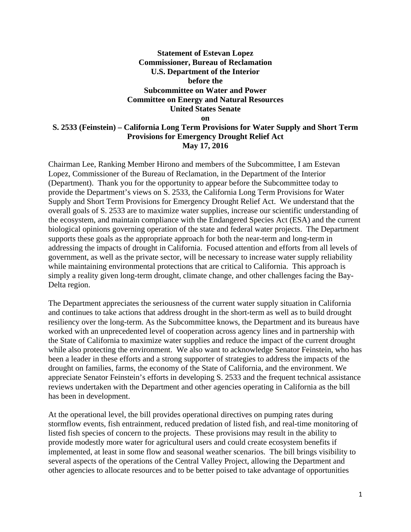## **Statement of Estevan Lopez Commissioner, Bureau of Reclamation U.S. Department of the Interior before the Subcommittee on Water and Power Committee on Energy and Natural Resources United States Senate**

**on** 

## **S. 2533 (Feinstein) – California Long Term Provisions for Water Supply and Short Term Provisions for Emergency Drought Relief Act May 17, 2016**

Chairman Lee, Ranking Member Hirono and members of the Subcommittee, I am Estevan Lopez, Commissioner of the Bureau of Reclamation, in the Department of the Interior (Department). Thank you for the opportunity to appear before the Subcommittee today to provide the Department's views on S. 2533, the California Long Term Provisions for Water Supply and Short Term Provisions for Emergency Drought Relief Act. We understand that the overall goals of S. 2533 are to maximize water supplies, increase our scientific understanding of the ecosystem, and maintain compliance with the Endangered Species Act (ESA) and the current biological opinions governing operation of the state and federal water projects. The Department supports these goals as the appropriate approach for both the near-term and long-term in addressing the impacts of drought in California. Focused attention and efforts from all levels of government, as well as the private sector, will be necessary to increase water supply reliability while maintaining environmental protections that are critical to California. This approach is simply a reality given long-term drought, climate change, and other challenges facing the Bay-Delta region.

The Department appreciates the seriousness of the current water supply situation in California and continues to take actions that address drought in the short-term as well as to build drought resiliency over the long-term. As the Subcommittee knows, the Department and its bureaus have worked with an unprecedented level of cooperation across agency lines and in partnership with the State of California to maximize water supplies and reduce the impact of the current drought while also protecting the environment. We also want to acknowledge Senator Feinstein, who has been a leader in these efforts and a strong supporter of strategies to address the impacts of the drought on families, farms, the economy of the State of California, and the environment. We appreciate Senator Feinstein's efforts in developing S. 2533 and the frequent technical assistance reviews undertaken with the Department and other agencies operating in California as the bill has been in development.

At the operational level, the bill provides operational directives on pumping rates during stormflow events, fish entrainment, reduced predation of listed fish, and real-time monitoring of listed fish species of concern to the projects. These provisions may result in the ability to provide modestly more water for agricultural users and could create ecosystem benefits if implemented, at least in some flow and seasonal weather scenarios. The bill brings visibility to several aspects of the operations of the Central Valley Project, allowing the Department and other agencies to allocate resources and to be better poised to take advantage of opportunities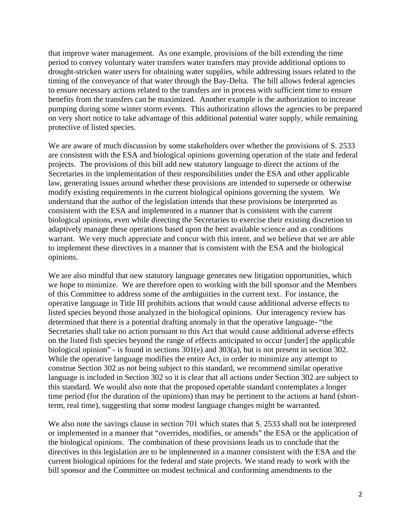that improve water management. As one example, provisions of the bill extending the time period to convey voluntary water transfers water transfers may provide additional options to drought-stricken water users for obtaining water supplies, while addressing issues related to the timing of the conveyance of that water through the Bay-Delta. The bill allows federal agencies to ensure necessary actions related to the transfers are in process with sufficient time to ensure benefits from the transfers can be maximized. Another example is the authorization to increase pumping during some winter storm events. This authorization allows the agencies to be prepared on very short notice to take advantage of this additional potential water supply, while remaining protective of listed species.

We are aware of much discussion by some stakeholders over whether the provisions of S. 2533 are consistent with the ESA and biological opinions governing operation of the state and federal projects. The provisions of this bill add new statutory language to direct the actions of the Secretaries in the implementation of their responsibilities under the ESA and other applicable law, generating issues around whether these provisions are intended to supersede or otherwise modify existing requirements in the current biological opinions governing the system. We understand that the author of the legislation intends that these provisions be interpreted as consistent with the ESA and implemented in a manner that is consistent with the current biological opinions, even while directing the Secretaries to exercise their existing discretion to adaptively manage these operations based upon the best available science and as conditions warrant. We very much appreciate and concur with this intent, and we believe that we are able to implement these directives in a manner that is consistent with the ESA and the biological opinions.

We are also mindful that new statutory language generates new litigation opportunities, which we hope to minimize. We are therefore open to working with the bill sponsor and the Members of this Committee to address some of the ambiguities in the current text. For instance, the operative language in Title III prohibits actions that would cause additional adverse effects to listed species beyond those analyzed in the biological opinions. Our interagency review has determined that there is a potential drafting anomaly in that the operative language- "the Secretaries shall take no action pursuant to this Act that would cause additional adverse effects on the listed fish species beyond the range of effects anticipated to occur [under] the applicable biological opinion" - is found in sections 301(e) and 303(a), but is not present in section 302. While the operative language modifies the entire Act, in order to minimize any attempt to construe Section 302 as not being subject to this standard, we recommend similar operative language is included in Section 302 so it is clear that all actions under Section 302 are subject to this standard. We would also note that the proposed operable standard contemplates a longer time period (for the duration of the opinions) than may be pertinent to the actions at hand (shortterm, real time), suggesting that some modest language changes might be warranted.

We also note the savings clause in section 701 which states that S. 2533 shall not be interpreted or implemented in a manner that "overrides, modifies, or amends" the ESA or the application of the biological opinions. The combination of these provisions leads us to conclude that the directives in this legislation are to be implemented in a manner consistent with the ESA and the current biological opinions for the federal and state projects. We stand ready to work with the bill sponsor and the Committee on modest technical and conforming amendments to the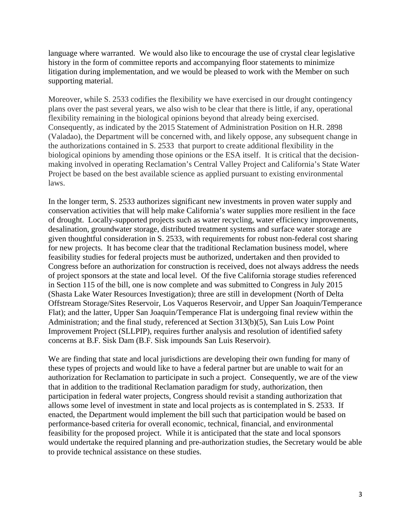language where warranted. We would also like to encourage the use of crystal clear legislative history in the form of committee reports and accompanying floor statements to minimize litigation during implementation, and we would be pleased to work with the Member on such supporting material.

Moreover, while S. 2533 codifies the flexibility we have exercised in our drought contingency plans over the past several years, we also wish to be clear that there is little, if any, operational flexibility remaining in the biological opinions beyond that already being exercised. Consequently, as indicated by the 2015 Statement of Administration Position on H.R. 2898 (Valadao), the Department will be concerned with, and likely oppose, any subsequent change in the authorizations contained in S. 2533 that purport to create additional flexibility in the biological opinions by amending those opinions or the ESA itself. It is critical that the decisionmaking involved in operating Reclamation's Central Valley Project and California's State Water Project be based on the best available science as applied pursuant to existing environmental laws.

In the longer term, S. 2533 authorizes significant new investments in proven water supply and conservation activities that will help make California's water supplies more resilient in the face of drought. Locally-supported projects such as water recycling, water efficiency improvements, desalination, groundwater storage, distributed treatment systems and surface water storage are given thoughtful consideration in S. 2533, with requirements for robust non-federal cost sharing for new projects. It has become clear that the traditional Reclamation business model, where feasibility studies for federal projects must be authorized, undertaken and then provided to Congress before an authorization for construction is received, does not always address the needs of project sponsors at the state and local level. Of the five California storage studies referenced in Section 115 of the bill, one is now complete and was submitted to Congress in July 2015 (Shasta Lake Water Resources Investigation); three are still in development (North of Delta Offstream Storage/Sites Reservoir, Los Vaqueros Reservoir, and Upper San Joaquin/Temperance Flat); and the latter, Upper San Joaquin/Temperance Flat is undergoing final review within the Administration; and the final study, referenced at Section 313(b)(5), San Luis Low Point Improvement Project (SLLPIP), requires further analysis and resolution of identified safety concerns at B.F. Sisk Dam (B.F. Sisk impounds San Luis Reservoir).

We are finding that state and local jurisdictions are developing their own funding for many of these types of projects and would like to have a federal partner but are unable to wait for an authorization for Reclamation to participate in such a project. Consequently, we are of the view that in addition to the traditional Reclamation paradigm for study, authorization, then participation in federal water projects, Congress should revisit a standing authorization that allows some level of investment in state and local projects as is contemplated in S. 2533. If enacted, the Department would implement the bill such that participation would be based on performance-based criteria for overall economic, technical, financial, and environmental feasibility for the proposed project. While it is anticipated that the state and local sponsors would undertake the required planning and pre-authorization studies, the Secretary would be able to provide technical assistance on these studies.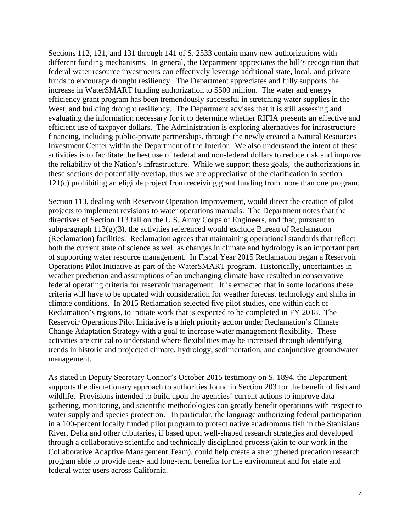Sections 112, 121, and 131 through 141 of S. 2533 contain many new authorizations with different funding mechanisms. In general, the Department appreciates the bill's recognition that federal water resource investments can effectively leverage additional state, local, and private funds to encourage drought resiliency. The Department appreciates and fully supports the increase in WaterSMART funding authorization to \$500 million. The water and energy efficiency grant program has been tremendously successful in stretching water supplies in the West, and building drought resiliency. The Department advises that it is still assessing and evaluating the information necessary for it to determine whether RIFIA presents an effective and efficient use of taxpayer dollars. The Administration is exploring alternatives for infrastructure financing, including public-private partnerships, through the newly created a Natural Resources Investment Center within the Department of the Interior. We also understand the intent of these activities is to facilitate the best use of federal and non-federal dollars to reduce risk and improve the reliability of the Nation's infrastructure. While we support these goals, the authorizations in these sections do potentially overlap, thus we are appreciative of the clarification in section 121(c) prohibiting an eligible project from receiving grant funding from more than one program.

Section 113, dealing with Reservoir Operation Improvement, would direct the creation of pilot projects to implement revisions to water operations manuals. The Department notes that the directives of Section 113 fall on the U.S. Army Corps of Engineers, and that, pursuant to subparagraph  $113(g)(3)$ , the activities referenced would exclude Bureau of Reclamation (Reclamation) facilities. Reclamation agrees that maintaining operational standards that reflect both the current state of science as well as changes in climate and hydrology is an important part of supporting water resource management. In Fiscal Year 2015 Reclamation began a Reservoir Operations Pilot Initiative as part of the WaterSMART program. Historically, uncertainties in weather prediction and assumptions of an unchanging climate have resulted in conservative federal operating criteria for reservoir management. It is expected that in some locations these criteria will have to be updated with consideration for weather forecast technology and shifts in climate conditions. In 2015 Reclamation selected five pilot studies, one within each of Reclamation's regions, to initiate work that is expected to be completed in FY 2018. The Reservoir Operations Pilot Initiative is a high priority action under Reclamation's Climate Change Adaptation Strategy with a goal to increase water management flexibility. These activities are critical to understand where flexibilities may be increased through identifying trends in historic and projected climate, hydrology, sedimentation, and conjunctive groundwater management.

As stated in Deputy Secretary Connor's October 2015 testimony on S. 1894, the Department supports the discretionary approach to authorities found in Section 203 for the benefit of fish and wildlife. Provisions intended to build upon the agencies' current actions to improve data gathering, monitoring, and scientific methodologies can greatly benefit operations with respect to water supply and species protection. In particular, the language authorizing federal participation in a 100-percent locally funded pilot program to protect native anadromous fish in the Stanislaus River, Delta and other tributaries, if based upon well-shaped research strategies and developed through a collaborative scientific and technically disciplined process (akin to our work in the Collaborative Adaptive Management Team), could help create a strengthened predation research program able to provide near- and long-term benefits for the environment and for state and federal water users across California.